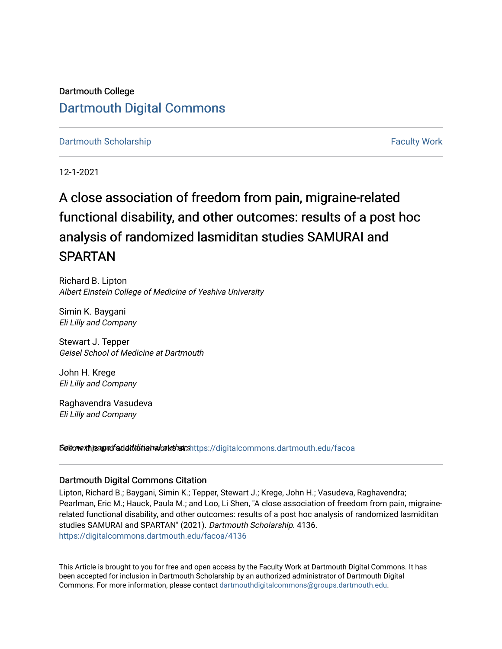Dartmouth College [Dartmouth Digital Commons](https://digitalcommons.dartmouth.edu/) 

[Dartmouth Scholarship](https://digitalcommons.dartmouth.edu/facoa) [Faculty Work](https://digitalcommons.dartmouth.edu/faculty) and The Basic Scholarship Faculty Work

12-1-2021

# A close association of freedom from pain, migraine-related functional disability, and other outcomes: results of a post hoc analysis of randomized lasmiditan studies SAMURAI and SPARTAN

Richard B. Lipton Albert Einstein College of Medicine of Yeshiva University

Simin K. Baygani Eli Lilly and Company

Stewart J. Tepper Geisel School of Medicine at Dartmouth

John H. Krege Eli Lilly and Company

Raghavendra Vasudeva Eli Lilly and Company

Settow *xhisaged* additional authorships://digitalcommons.dartmouth.edu/facoa

### Dartmouth Digital Commons Citation

Lipton, Richard B.; Baygani, Simin K.; Tepper, Stewart J.; Krege, John H.; Vasudeva, Raghavendra; Pearlman, Eric M.; Hauck, Paula M.; and Loo, Li Shen, "A close association of freedom from pain, migrainerelated functional disability, and other outcomes: results of a post hoc analysis of randomized lasmiditan studies SAMURAI and SPARTAN" (2021). Dartmouth Scholarship. 4136. [https://digitalcommons.dartmouth.edu/facoa/4136](https://digitalcommons.dartmouth.edu/facoa/4136?utm_source=digitalcommons.dartmouth.edu%2Ffacoa%2F4136&utm_medium=PDF&utm_campaign=PDFCoverPages) 

This Article is brought to you for free and open access by the Faculty Work at Dartmouth Digital Commons. It has been accepted for inclusion in Dartmouth Scholarship by an authorized administrator of Dartmouth Digital Commons. For more information, please contact [dartmouthdigitalcommons@groups.dartmouth.edu](mailto:dartmouthdigitalcommons@groups.dartmouth.edu).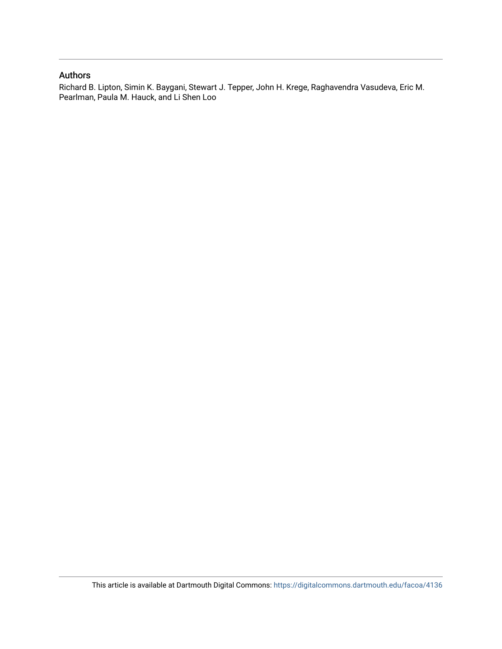### Authors

Richard B. Lipton, Simin K. Baygani, Stewart J. Tepper, John H. Krege, Raghavendra Vasudeva, Eric M. Pearlman, Paula M. Hauck, and Li Shen Loo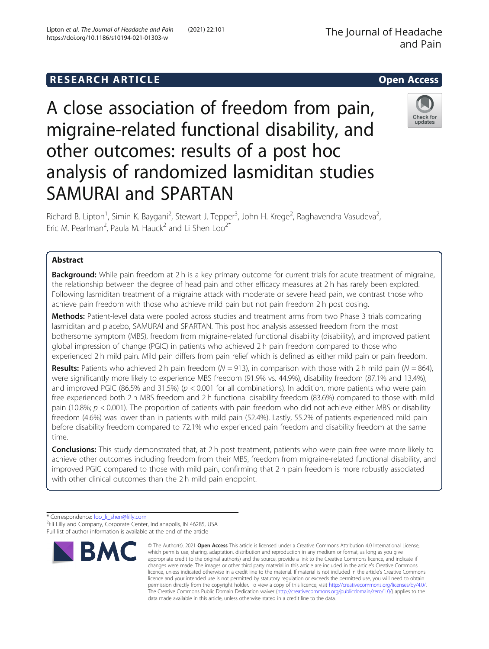## **RESEARCH ARTICLE Example 2014 12:30 The SEAR CH ACCESS**

A close association of freedom from pain, migraine-related functional disability, and other outcomes: results of a post hoc analysis of randomized lasmiditan studies SAMURAI and SPARTAN

Richard B. Lipton<sup>1</sup>, Simin K. Baygani<sup>2</sup>, Stewart J. Tepper<sup>3</sup>, John H. Krege<sup>2</sup>, Raghavendra Vasudeva<sup>2</sup> , Eric M. Pearlman<sup>2</sup>, Paula M. Hauck<sup>2</sup> and Li Shen Loo<sup>2\*</sup>

### Abstract

**Background:** While pain freedom at 2 h is a key primary outcome for current trials for acute treatment of migraine, the relationship between the degree of head pain and other efficacy measures at 2 h has rarely been explored. Following lasmiditan treatment of a migraine attack with moderate or severe head pain, we contrast those who achieve pain freedom with those who achieve mild pain but not pain freedom 2 h post dosing.

Methods: Patient-level data were pooled across studies and treatment arms from two Phase 3 trials comparing lasmiditan and placebo, SAMURAI and SPARTAN. This post hoc analysis assessed freedom from the most bothersome symptom (MBS), freedom from migraine-related functional disability (disability), and improved patient global impression of change (PGIC) in patients who achieved 2 h pain freedom compared to those who experienced 2 h mild pain. Mild pain differs from pain relief which is defined as either mild pain or pain freedom.

**Results:** Patients who achieved 2 h pain freedom ( $N = 913$ ), in comparison with those with 2 h mild pain ( $N = 864$ ), were significantly more likely to experience MBS freedom (91.9% vs. 44.9%), disability freedom (87.1% and 13.4%), and improved PGIC (86.5% and 31.5%) ( $p < 0.001$  for all combinations). In addition, more patients who were pain free experienced both 2 h MBS freedom and 2 h functional disability freedom (83.6%) compared to those with mild pain (10.8%;  $p < 0.001$ ). The proportion of patients with pain freedom who did not achieve either MBS or disability freedom (4.6%) was lower than in patients with mild pain (52.4%). Lastly, 55.2% of patients experienced mild pain before disability freedom compared to 72.1% who experienced pain freedom and disability freedom at the same time.

**Conclusions:** This study demonstrated that, at 2 h post treatment, patients who were pain free were more likely to achieve other outcomes including freedom from their MBS, freedom from migraine-related functional disability, and improved PGIC compared to those with mild pain, confirming that 2 h pain freedom is more robustly associated with other clinical outcomes than the 2 h mild pain endpoint.

> © The Author(s), 2021 **Open Access** This article is licensed under a Creative Commons Attribution 4.0 International License, which permits use, sharing, adaptation, distribution and reproduction in any medium or format, as long as you give appropriate credit to the original author(s) and the source, provide a link to the Creative Commons licence, and indicate if changes were made. The images or other third party material in this article are included in the article's Creative Commons licence, unless indicated otherwise in a credit line to the material. If material is not included in the article's Creative Commons licence and your intended use is not permitted by statutory regulation or exceeds the permitted use, you will need to obtain permission directly from the copyright holder. To view a copy of this licence, visit [http://creativecommons.org/licenses/by/4.0/.](http://creativecommons.org/licenses/by/4.0/) The Creative Commons Public Domain Dedication waiver [\(http://creativecommons.org/publicdomain/zero/1.0/](http://creativecommons.org/publicdomain/zero/1.0/)) applies to the data made available in this article, unless otherwise stated in a credit line to the data.

\* Correspondence: [loo\\_li\\_shen@lilly.com](mailto:loo_li_shen@lilly.com) <sup>2</sup> <sup>2</sup>Eli Lilly and Company, Corporate Center, Indianapolis, IN 46285, USA Full list of author information is available at the end of the article

**BMC** 





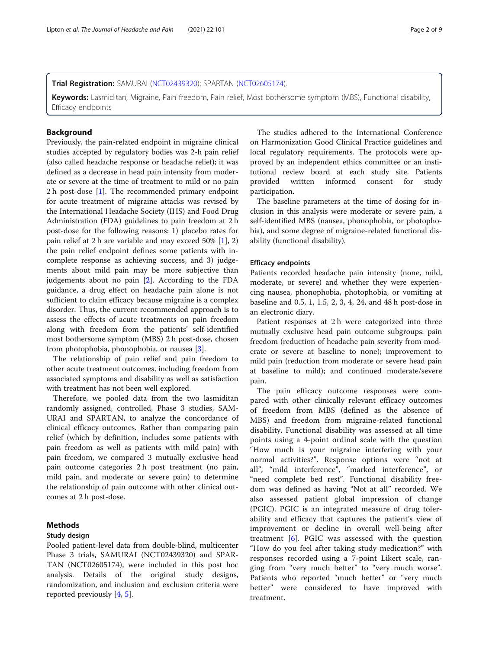#### Trial Registration: SAMURAI ([NCT02439320](https://clinicaltrials.gov/ct2/show/NCT02439320)); SPARTAN ([NCT02605174\)](https://clinicaltrials.gov/ct2/show/NCT02605174).

Keywords: Lasmiditan, Migraine, Pain freedom, Pain relief, Most bothersome symptom (MBS), Functional disability, Efficacy endpoints

#### **Background**

Previously, the pain-related endpoint in migraine clinical studies accepted by regulatory bodies was 2-h pain relief (also called headache response or headache relief); it was defined as a decrease in head pain intensity from moderate or severe at the time of treatment to mild or no pain 2 h post-dose [[1\]](#page-9-0). The recommended primary endpoint for acute treatment of migraine attacks was revised by the International Headache Society (IHS) and Food Drug Administration (FDA) guidelines to pain freedom at 2 h post-dose for the following reasons: 1) placebo rates for pain relief at 2 h are variable and may exceed 50% [\[1](#page-9-0)], 2) the pain relief endpoint defines some patients with incomplete response as achieving success, and 3) judgements about mild pain may be more subjective than judgements about no pain [[2\]](#page-9-0). According to the FDA guidance, a drug effect on headache pain alone is not sufficient to claim efficacy because migraine is a complex disorder. Thus, the current recommended approach is to assess the effects of acute treatments on pain freedom along with freedom from the patients' self-identified most bothersome symptom (MBS) 2 h post-dose, chosen from photophobia, phonophobia, or nausea [[3\]](#page-9-0).

The relationship of pain relief and pain freedom to other acute treatment outcomes, including freedom from associated symptoms and disability as well as satisfaction with treatment has not been well explored.

Therefore, we pooled data from the two lasmiditan randomly assigned, controlled, Phase 3 studies, SAM-URAI and SPARTAN, to analyze the concordance of clinical efficacy outcomes. Rather than comparing pain relief (which by definition, includes some patients with pain freedom as well as patients with mild pain) with pain freedom, we compared 3 mutually exclusive head pain outcome categories 2 h post treatment (no pain, mild pain, and moderate or severe pain) to determine the relationship of pain outcome with other clinical outcomes at 2 h post-dose.

#### Methods

#### Study design

Pooled patient-level data from double-blind, multicenter Phase 3 trials, SAMURAI (NCT02439320) and SPAR-TAN (NCT02605174), were included in this post hoc analysis. Details of the original study designs, randomization, and inclusion and exclusion criteria were reported previously [\[4](#page-10-0), [5](#page-10-0)].

The studies adhered to the International Conference on Harmonization Good Clinical Practice guidelines and local regulatory requirements. The protocols were approved by an independent ethics committee or an institutional review board at each study site. Patients provided written informed consent for study participation.

The baseline parameters at the time of dosing for inclusion in this analysis were moderate or severe pain, a self-identified MBS (nausea, phonophobia, or photophobia), and some degree of migraine-related functional disability (functional disability).

#### Efficacy endpoints

Patients recorded headache pain intensity (none, mild, moderate, or severe) and whether they were experiencing nausea, phonophobia, photophobia, or vomiting at baseline and 0.5, 1, 1.5, 2, 3, 4, 24, and 48 h post-dose in an electronic diary.

Patient responses at 2 h were categorized into three mutually exclusive head pain outcome subgroups: pain freedom (reduction of headache pain severity from moderate or severe at baseline to none); improvement to mild pain (reduction from moderate or severe head pain at baseline to mild); and continued moderate/severe pain.

The pain efficacy outcome responses were compared with other clinically relevant efficacy outcomes of freedom from MBS (defined as the absence of MBS) and freedom from migraine-related functional disability. Functional disability was assessed at all time points using a 4-point ordinal scale with the question "How much is your migraine interfering with your normal activities?". Response options were "not at all", "mild interference", "marked interference", or "need complete bed rest". Functional disability freedom was defined as having "Not at all" recorded. We also assessed patient global impression of change (PGIC). PGIC is an integrated measure of drug tolerability and efficacy that captures the patient's view of improvement or decline in overall well-being after treatment [\[6](#page-10-0)]. PGIC was assessed with the question "How do you feel after taking study medication?" with responses recorded using a 7-point Likert scale, ranging from "very much better" to "very much worse". Patients who reported "much better" or "very much better" were considered to have improved with treatment.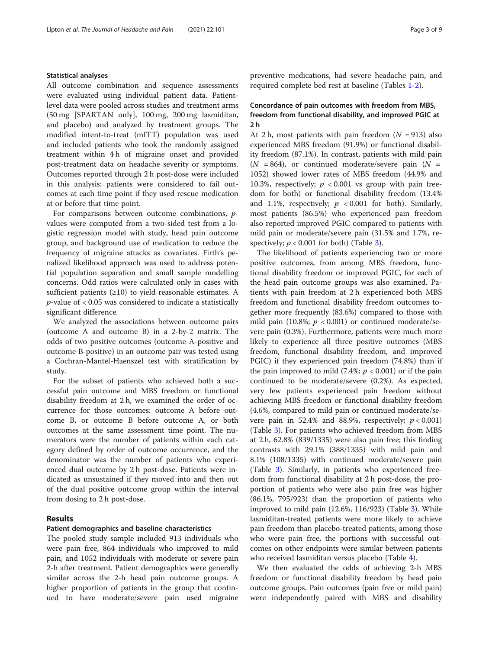#### Statistical analyses

All outcome combination and sequence assessments were evaluated using individual patient data. Patientlevel data were pooled across studies and treatment arms (50 mg [SPARTAN only], 100 mg, 200 mg lasmiditan, and placebo) and analyzed by treatment groups. The modified intent-to-treat (mITT) population was used and included patients who took the randomly assigned treatment within 4 h of migraine onset and provided post-treatment data on headache severity or symptoms. Outcomes reported through 2 h post-dose were included in this analysis; patients were considered to fail outcomes at each time point if they used rescue medication at or before that time point.

For comparisons between outcome combinations, pvalues were computed from a two-sided test from a logistic regression model with study, head pain outcome group, and background use of medication to reduce the frequency of migraine attacks as covariates. Firth's penalized likelihood approach was used to address potential population separation and small sample modelling concerns. Odd ratios were calculated only in cases with sufficient patients  $(≥10)$  to yield reasonable estimates. A  $p$ -value of  $<0.05$  was considered to indicate a statistically significant difference.

We analyzed the associations between outcome pairs (outcome A and outcome B) in a 2-by-2 matrix. The odds of two positive outcomes (outcome A-positive and outcome B-positive) in an outcome pair was tested using a Cochran-Mantel-Haenszel test with stratification by study.

For the subset of patients who achieved both a successful pain outcome and MBS freedom or functional disability freedom at 2 h, we examined the order of occurrence for those outcomes: outcome A before outcome B, or outcome B before outcome A, or both outcomes at the same assessment time point. The numerators were the number of patients within each category defined by order of outcome occurrence, and the denominator was the number of patients who experienced dual outcome by 2 h post-dose. Patients were indicated as unsustained if they moved into and then out of the dual positive outcome group within the interval from dosing to 2 h post-dose.

#### Results

#### Patient demographics and baseline characteristics

The pooled study sample included 913 individuals who were pain free, 864 individuals who improved to mild pain, and 1052 individuals with moderate or severe pain 2-h after treatment. Patient demographics were generally similar across the 2-h head pain outcome groups. A higher proportion of patients in the group that continued to have moderate/severe pain used migraine preventive medications, had severe headache pain, and required complete bed rest at baseline (Tables [1](#page-5-0)-[2\)](#page-5-0).

#### Concordance of pain outcomes with freedom from MBS, freedom from functional disability, and improved PGIC at 2 h

At 2 h, most patients with pain freedom  $(N = 913)$  also experienced MBS freedom (91.9%) or functional disability freedom (87.1%). In contrast, patients with mild pain  $(N = 864)$ , or continued moderate/severe pain  $(N = 164)$ 1052) showed lower rates of MBS freedom (44.9% and 10.3%, respectively;  $p < 0.001$  vs group with pain freedom for both) or functional disability freedom (13.4% and 1.1%, respectively;  $p < 0.001$  for both). Similarly, most patients (86.5%) who experienced pain freedom also reported improved PGIC compared to patients with mild pain or moderate/severe pain (31.5% and 1.7%, respectively;  $p < 0.001$  for both) (Table [3\)](#page-6-0).

The likelihood of patients experiencing two or more positive outcomes, from among MBS freedom, functional disability freedom or improved PGIC, for each of the head pain outcome groups was also examined. Patients with pain freedom at 2 h experienced both MBS freedom and functional disability freedom outcomes together more frequently (83.6%) compared to those with mild pain (10.8%;  $p < 0.001$ ) or continued moderate/severe pain (0.3%). Furthermore, patients were much more likely to experience all three positive outcomes (MBS freedom, functional disability freedom, and improved PGIC) if they experienced pain freedom (74.8%) than if the pain improved to mild  $(7.4\%; p < 0.001)$  or if the pain continued to be moderate/severe (0.2%). As expected, very few patients experienced pain freedom without achieving MBS freedom or functional disability freedom (4.6%, compared to mild pain or continued moderate/severe pain in 52.4% and 88.9%, respectively;  $p < 0.001$ ) (Table [3\)](#page-6-0). For patients who achieved freedom from MBS at 2 h, 62.8% (839/1335) were also pain free; this finding contrasts with 29.1% (388/1335) with mild pain and 8.1% (108/1335) with continued moderate/severe pain (Table [3\)](#page-6-0). Similarly, in patients who experienced freedom from functional disability at 2 h post-dose, the proportion of patients who were also pain free was higher (86.1%, 795/923) than the proportion of patients who improved to mild pain (12.6%, 116/923) (Table [3](#page-6-0)). While lasmiditan-treated patients were more likely to achieve pain freedom than placebo-treated patients, among those who were pain free, the portions with successful outcomes on other endpoints were similar between patients who received lasmiditan versus placebo (Table [4](#page-6-0)).

We then evaluated the odds of achieving 2-h MBS freedom or functional disability freedom by head pain outcome groups. Pain outcomes (pain free or mild pain) were independently paired with MBS and disability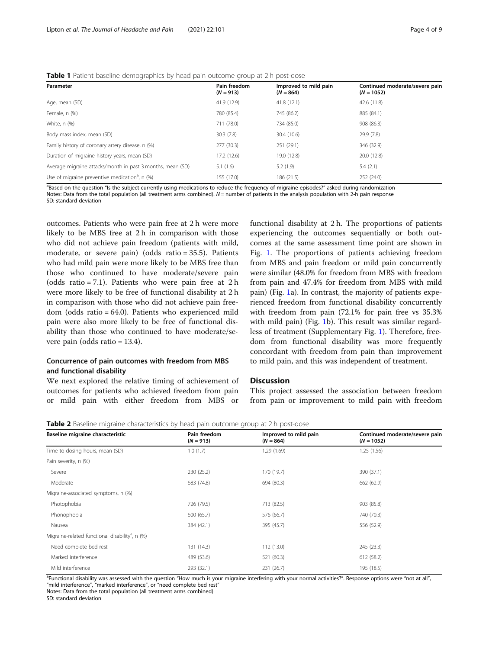#### <span id="page-5-0"></span>**Table 1** Patient baseline demographics by head pain outcome group at 2 h post-dose

| Parameter                                                    | Pain freedom<br>$(N = 913)$ | Improved to mild pain<br>$(N = 864)$ | Continued moderate/severe pain<br>$(N = 1052)$ |
|--------------------------------------------------------------|-----------------------------|--------------------------------------|------------------------------------------------|
| Age, mean (SD)                                               | 41.9 (12.9)                 | 41.8 (12.1)                          | 42.6 (11.8)                                    |
| Female, n (%)                                                | 780 (85.4)                  | 745 (86.2)                           | 885 (84.1)                                     |
| White, n (%)                                                 | 711 (78.0)                  | 734 (85.0)                           | 908 (86.3)                                     |
| Body mass index, mean (SD)                                   | 30.3(7.8)                   | 30.4 (10.6)                          | 29.9 (7.8)                                     |
| Family history of coronary artery disease, n (%)             | 277 (30.3)                  | 251 (29.1)                           | 346 (32.9)                                     |
| Duration of migraine history years, mean (SD)                | 17.2 (12.6)                 | 19.0 (12.8)                          | 20.0 (12.8)                                    |
| Average migraine attacks/month in past 3 months, mean (SD)   | 5.1(1.6)                    | 5.2(1.9)                             | 5.4(2.1)                                       |
| Use of migraine preventive medication <sup>a</sup> , $n$ (%) | 155 (17.0)                  | 186 (21.5)                           | 252 (24.0)                                     |
|                                                              |                             |                                      |                                                |

a<br>Based on the question "Is the subject currently using medications to reduce the frequency of migraine episodes?" asked during randomization Notes: Data from the total population (all treatment arms combined). N = number of patients in the analysis population with 2-h pain response SD: standard deviation

outcomes. Patients who were pain free at 2 h were more likely to be MBS free at 2 h in comparison with those who did not achieve pain freedom (patients with mild, moderate, or severe pain) (odds ratio = 35.5). Patients who had mild pain were more likely to be MBS free than those who continued to have moderate/severe pain (odds ratio = 7.1). Patients who were pain free at 2 h were more likely to be free of functional disability at 2 h in comparison with those who did not achieve pain freedom (odds ratio = 64.0). Patients who experienced mild pain were also more likely to be free of functional disability than those who continued to have moderate/severe pain (odds ratio = 13.4).

#### Concurrence of pain outcomes with freedom from MBS and functional disability

We next explored the relative timing of achievement of outcomes for patients who achieved freedom from pain or mild pain with either freedom from MBS or functional disability at 2 h. The proportions of patients experiencing the outcomes sequentially or both outcomes at the same assessment time point are shown in Fig. [1](#page-7-0). The proportions of patients achieving freedom from MBS and pain freedom or mild pain concurrently were similar (48.0% for freedom from MBS with freedom from pain and 47.4% for freedom from MBS with mild pain) (Fig. [1](#page-7-0)a). In contrast, the majority of patients experienced freedom from functional disability concurrently with freedom from pain (72.1% for pain free vs 35.3% with mild pain) (Fig. [1b](#page-7-0)). This result was similar regardless of treatment (Supplementary Fig. [1\)](#page-8-0). Therefore, freedom from functional disability was more frequently concordant with freedom from pain than improvement to mild pain, and this was independent of treatment.

#### **Discussion**

This project assessed the association between freedom from pain or improvement to mild pain with freedom

**Table 2** Baseline migraine characteristics by head pain outcome group at 2 h post-dose

| Baseline migraine characteristic                            | Pain freedom<br>$(N = 913)$ | Improved to mild pain<br>$(N = 864)$ | Continued moderate/severe pain<br>$(N = 1052)$ |
|-------------------------------------------------------------|-----------------------------|--------------------------------------|------------------------------------------------|
| Time to dosing hours, mean (SD)                             | 1.0(1.7)                    | 1.29(1.69)                           | 1.25(1.56)                                     |
| Pain severity, n (%)                                        |                             |                                      |                                                |
| Severe                                                      | 230 (25.2)                  | 170 (19.7)                           | 390 (37.1)                                     |
| Moderate                                                    | 683 (74.8)                  | 694 (80.3)                           | 662 (62.9)                                     |
| Migraine-associated symptoms, n (%)                         |                             |                                      |                                                |
| Photophobia                                                 | 726 (79.5)                  | 713 (82.5)                           | 903 (85.8)                                     |
| Phonophobia                                                 | 600 (65.7)                  | 576 (66.7)                           | 740 (70.3)                                     |
| Nausea                                                      | 384 (42.1)                  | 395 (45.7)                           | 556 (52.9)                                     |
| Migraine-related functional disability <sup>a</sup> , n (%) |                             |                                      |                                                |
| Need complete bed rest                                      | 131 (14.3)                  | 112 (13.0)                           | 245 (23.3)                                     |
| Marked interference                                         | 489 (53.6)                  | 521 (60.3)                           | 612 (58.2)                                     |
| Mild interference                                           | 293 (32.1)                  | 231 (26.7)                           | 195 (18.5)                                     |

<sup>a</sup>Functional disability was assessed with the question "How much is your migraine interfering with your normal activities?". Response options were "not at all", "mild interference", "marked interference", or "need complete bed rest"

Notes: Data from the total population (all treatment arms combined) SD: standard deviation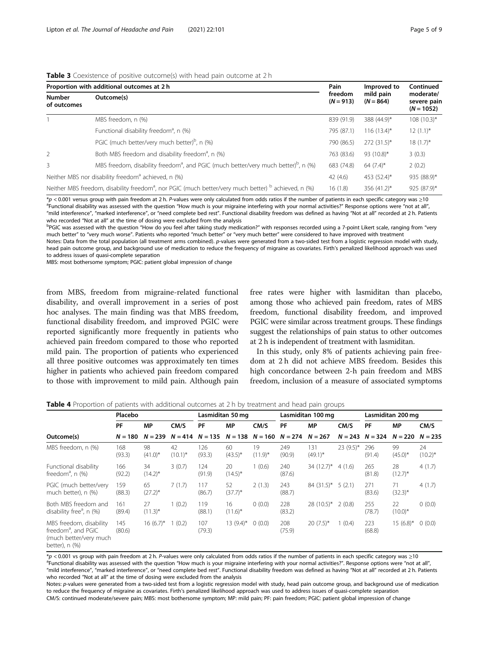<span id="page-6-0"></span>

|  | <b>Table 3</b> Coexistence of positive outcome(s) with head pain outcome at 2 h |  |
|--|---------------------------------------------------------------------------------|--|
|--|---------------------------------------------------------------------------------|--|

| Proportion with additional outcomes at 2 h | Improved to                                                                                                                 | Continued              |                          |                                          |
|--------------------------------------------|-----------------------------------------------------------------------------------------------------------------------------|------------------------|--------------------------|------------------------------------------|
| <b>Number</b><br>of outcomes               | Outcome(s)                                                                                                                  | freedom<br>$(N = 913)$ | mild pain<br>$(N = 864)$ | moderate/<br>severe pain<br>$(N = 1052)$ |
|                                            | MBS freedom, n (%)                                                                                                          | 839 (91.9)             | 388 (44.9)*              | $108(10.3)^{*}$                          |
|                                            | Functional disability freedom <sup>a</sup> , n (%)                                                                          | 795 (87.1)             | $116(13.4)^{*}$          | $12(1.1)^{*}$                            |
|                                            | PGIC (much better/very much better) <sup>b</sup> , n (%)                                                                    | 790 (86.5)             | $272(31.5)^*$            | $18(1.7)^{*}$                            |
| 2                                          | Both MBS freedom and disability freedom <sup>a</sup> , n (%)                                                                | 763 (83.6)             | 93 $(10.8)^*$            | 3(0.3)                                   |
| 3                                          | MBS freedom, disability freedom <sup>3</sup> , and PGIC (much better/very much better) <sup>b</sup> , n (%)                 | 683 (74.8)             | 64 $(7.4)$ *             | 2(0.2)                                   |
|                                            | Neither MBS nor disability freedom <sup>a</sup> achieved, n (%)                                                             | 42(4.6)                | 453 (52.4)*              | 935 (88.9)*                              |
|                                            | Neither MBS freedom, disability freedom <sup>a</sup> , nor PGIC (much better/very much better) <sup>b</sup> achieved, n (%) | 16(1.8)                | 356 (41.2)*              | 925 (87.9)*                              |

\*<sup>p</sup> < 0.001 versus group with pain freedom at 2 h. <sup>P</sup>-values were only calculated from odds ratios if the number of patients in each specific category was <sup>≥</sup><sup>10</sup> <sup>a</sup> <sup>a</sup>Functional disability was assessed with the question "How much is your migraine interfering with your normal activities?" Response options were "not at all", "mild interference", "marked interference", or "need complete bed rest". Functional disability freedom was defined as having "Not at all" recorded at 2 h. Patients who recorded "Not at all" at the time of dosing were excluded from the analysis

PPGIC was assessed with the question "How do you feel after taking study medication?" with responses recorded using a 7-point Likert scale, ranging from "very much better" to "very much worse". Patients who reported "much better" or "very much better" were considered to have improved with treatment

Notes: Data from the total population (all treatment arms combined). p-values were generated from a two-sided test from a logistic regression model with study, head pain outcome group, and background use of medication to reduce the frequency of migraine as covariates. Firth's penalized likelihood approach was used to address issues of quasi-complete separation

MBS: most bothersome symptom; PGIC: patient global impression of change

from MBS, freedom from migraine-related functional disability, and overall improvement in a series of post hoc analyses. The main finding was that MBS freedom, functional disability freedom, and improved PGIC were reported significantly more frequently in patients who achieved pain freedom compared to those who reported mild pain. The proportion of patients who experienced all three positive outcomes was approximately ten times higher in patients who achieved pain freedom compared to those with improvement to mild pain. Although pain

free rates were higher with lasmiditan than placebo, among those who achieved pain freedom, rates of MBS freedom, functional disability freedom, and improved PGIC were similar across treatment groups. These findings suggest the relationships of pain status to other outcomes at 2 h is independent of treatment with lasmiditan.

In this study, only 8% of patients achieving pain freedom at 2 h did not achieve MBS freedom. Besides this high concordance between 2-h pain freedom and MBS freedom, inclusion of a measure of associated symptoms

|                                                                                                        | Placebo       |                    |                     | Lasmiditan 50 mg |                  | Lasmiditan 100 mg |                     |                   | Lasmiditan 200 mg |               |                               |                    |
|--------------------------------------------------------------------------------------------------------|---------------|--------------------|---------------------|------------------|------------------|-------------------|---------------------|-------------------|-------------------|---------------|-------------------------------|--------------------|
|                                                                                                        | PF            | <b>MP</b>          | CM/S                | PF               | MP               | CM/S              | PF                  | <b>MP</b>         | CM/S              | PF            | <b>MP</b>                     | CM/S               |
| Outcome(s)                                                                                             | $N = 180$     | $N = 239$          | $N = 414$ $N = 135$ |                  | $N = 138$        |                   | $N = 160$ $N = 274$ | $N = 267$         |                   |               | $N = 243$ $N = 324$ $N = 220$ | $N = 235$          |
| MBS freedom, n (%)                                                                                     | 168<br>(93.3) | 98<br>$(41.0)^*$   | 42<br>$(10.1)^{*}$  | 126<br>(93.3)    | 60<br>$(43.5)^*$ | 19<br>$(11.9)^*$  | 249<br>(90.9)       | 131<br>$(49.1)^*$ | $23(9.5)$ *       | 296<br>(91.4) | 99<br>$(45.0)^*$              | 24<br>$(10.2)^{*}$ |
| Functional disability<br>freedom <sup>a</sup> , n (%)                                                  | 166<br>(92.2) | 34<br>$(14.2)^{*}$ | 3(0.7)              | 124<br>(91.9)    | 20<br>$(14.5)^*$ | 1(0.6)            | 240<br>(87.6)       | $34(12.7)^{*}$    | 4(1.6)            | 265<br>(81.8) | 28<br>$(12.7)^*$              | 4(1.7)             |
| PGIC (much better/very<br>much better), n (%)                                                          | 159<br>(88.3) | 65<br>$(27.2)^*$   | 7(1.7)              | 117<br>(86.7)    | 52<br>$(37.7)^*$ | 2(1.3)            | 243<br>(88.7)       | $84(31.5)^*$      | 5(2.1)            | 271<br>(83.6) | 71<br>$(32.3)^*$              | 4(1.7)             |
| Both MBS freedom and<br>disability free <sup>d</sup> , n (%)                                           | 161<br>(89.4) | 27<br>$(11.3)^*$   | (0.2)               | 119<br>(88.1)    | 16<br>$(11.6)^*$ | 0(0.0)            | 228<br>(83.2)       | $28(10.5)^*$      | 2(0.8)            | 255<br>(78.7) | 22<br>$(10.0)^*$              | 0(0.0)             |
| MBS freedom, disability<br>freedom <sup>a</sup> , and PGIC<br>(much better/very much<br>better), n (%) | 145<br>(80.6) | $16(6.7)$ *        | (0.2)               | 107<br>(79.3)    | $13(9.4)$ *      | 0(0.0)            | 208<br>(75.9)       | $20(7.5)$ *       | 1(0.4)            | 223<br>(68.8) | $15(6.8)$ *                   | 0(0.0)             |

**Table 4** Proportion of patients with additional outcomes at 2 h by treatment and head pain groups

 $*_p$  < 0.001 vs group with pain freedom at 2 h. P-values were only calculated from odds ratios if the number of patients in each specific category was ≥10 Functional disability was assessed with the question "How much is your migraine interfering with your normal activities?". Response options were "not at all", "mild interference", "marked interference", or "need complete bed rest". Functional disability freedom was defined as having "Not at all" recorded at 2 h. Patients who recorded "Not at all" at the time of dosing were excluded from the analysis

Notes: p-values were generated from a two-sided test from a logistic regression model with study, head pain outcome group, and background use of medication to reduce the frequency of migraine as covariates. Firth's penalized likelihood approach was used to address issues of quasi-complete separation CM/S: continued moderate/severe pain; MBS: most bothersome symptom; MP: mild pain; PF: pain freedom; PGIC: patient global impression of change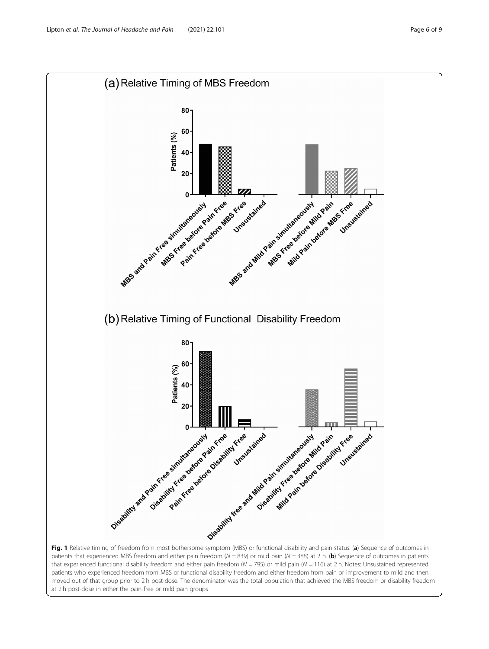<span id="page-7-0"></span>

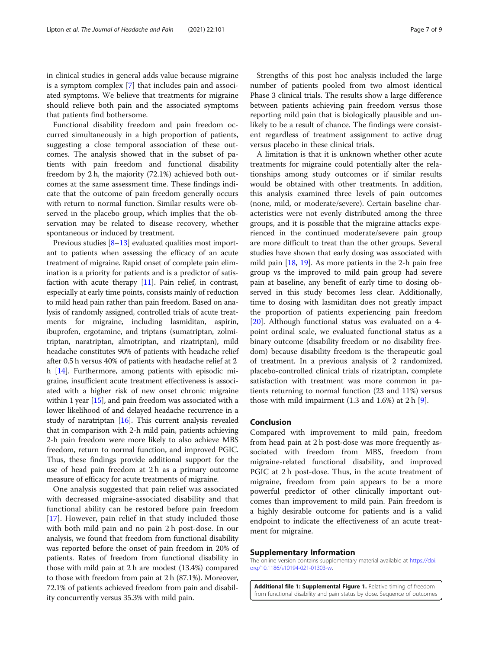<span id="page-8-0"></span>in clinical studies in general adds value because migraine is a symptom complex [\[7](#page-10-0)] that includes pain and associated symptoms. We believe that treatments for migraine should relieve both pain and the associated symptoms that patients find bothersome.

Functional disability freedom and pain freedom occurred simultaneously in a high proportion of patients, suggesting a close temporal association of these outcomes. The analysis showed that in the subset of patients with pain freedom and functional disability freedom by 2 h, the majority (72.1%) achieved both outcomes at the same assessment time. These findings indicate that the outcome of pain freedom generally occurs with return to normal function. Similar results were observed in the placebo group, which implies that the observation may be related to disease recovery, whether spontaneous or induced by treatment.

Previous studies [[8](#page-10-0)–[13](#page-10-0)] evaluated qualities most important to patients when assessing the efficacy of an acute treatment of migraine. Rapid onset of complete pain elimination is a priority for patients and is a predictor of satisfaction with acute therapy  $[11]$  $[11]$  $[11]$ . Pain relief, in contrast, especially at early time points, consists mainly of reduction to mild head pain rather than pain freedom. Based on analysis of randomly assigned, controlled trials of acute treatments for migraine, including lasmiditan, aspirin, ibuprofen, ergotamine, and triptans (sumatriptan, zolmitriptan, naratriptan, almotriptan, and rizatriptan), mild headache constitutes 90% of patients with headache relief after 0.5 h versus 40% of patients with headache relief at 2 h [\[14\]](#page-10-0). Furthermore, among patients with episodic migraine, insufficient acute treatment effectiveness is associated with a higher risk of new onset chronic migraine within 1 year  $[15]$ , and pain freedom was associated with a lower likelihood of and delayed headache recurrence in a study of naratriptan [\[16\]](#page-10-0). This current analysis revealed that in comparison with 2-h mild pain, patients achieving 2-h pain freedom were more likely to also achieve MBS freedom, return to normal function, and improved PGIC. Thus, these findings provide additional support for the use of head pain freedom at 2 h as a primary outcome measure of efficacy for acute treatments of migraine.

One analysis suggested that pain relief was associated with decreased migraine-associated disability and that functional ability can be restored before pain freedom [[17\]](#page-10-0). However, pain relief in that study included those with both mild pain and no pain 2 h post-dose. In our analysis, we found that freedom from functional disability was reported before the onset of pain freedom in 20% of patients. Rates of freedom from functional disability in those with mild pain at 2 h are modest (13.4%) compared to those with freedom from pain at 2 h (87.1%). Moreover, 72.1% of patients achieved freedom from pain and disability concurrently versus 35.3% with mild pain.

Strengths of this post hoc analysis included the large number of patients pooled from two almost identical Phase 3 clinical trials. The results show a large difference between patients achieving pain freedom versus those reporting mild pain that is biologically plausible and unlikely to be a result of chance. The findings were consistent regardless of treatment assignment to active drug versus placebo in these clinical trials.

A limitation is that it is unknown whether other acute treatments for migraine could potentially alter the relationships among study outcomes or if similar results would be obtained with other treatments. In addition, this analysis examined three levels of pain outcomes (none, mild, or moderate/severe). Certain baseline characteristics were not evenly distributed among the three groups, and it is possible that the migraine attacks experienced in the continued moderate/severe pain group are more difficult to treat than the other groups. Several studies have shown that early dosing was associated with mild pain  $[18, 19]$  $[18, 19]$  $[18, 19]$  $[18, 19]$ . As more patients in the 2-h pain free group vs the improved to mild pain group had severe pain at baseline, any benefit of early time to dosing observed in this study becomes less clear. Additionally, time to dosing with lasmiditan does not greatly impact the proportion of patients experiencing pain freedom [[20\]](#page-10-0). Although functional status was evaluated on a 4point ordinal scale, we evaluated functional status as a binary outcome (disability freedom or no disability freedom) because disability freedom is the therapeutic goal of treatment. In a previous analysis of 2 randomized, placebo-controlled clinical trials of rizatriptan, complete satisfaction with treatment was more common in patients returning to normal function (23 and 11%) versus those with mild impairment  $(1.3 \text{ and } 1.6\%)$  at  $2 \text{ h } [9]$  $2 \text{ h } [9]$  $2 \text{ h } [9]$ .

#### Conclusion

Compared with improvement to mild pain, freedom from head pain at 2 h post-dose was more frequently associated with freedom from MBS, freedom from migraine-related functional disability, and improved PGIC at 2 h post-dose. Thus, in the acute treatment of migraine, freedom from pain appears to be a more powerful predictor of other clinically important outcomes than improvement to mild pain. Pain freedom is a highly desirable outcome for patients and is a valid endpoint to indicate the effectiveness of an acute treatment for migraine.

#### Supplementary Information

The online version contains supplementary material available at [https://doi.](https://doi.org/10.1186/s10194-021-01303-w) [org/10.1186/s10194-021-01303-w](https://doi.org/10.1186/s10194-021-01303-w).

Additional file 1: Supplemental Figure 1. Relative timing of freedom from functional disability and pain status by dose. Sequence of outcomes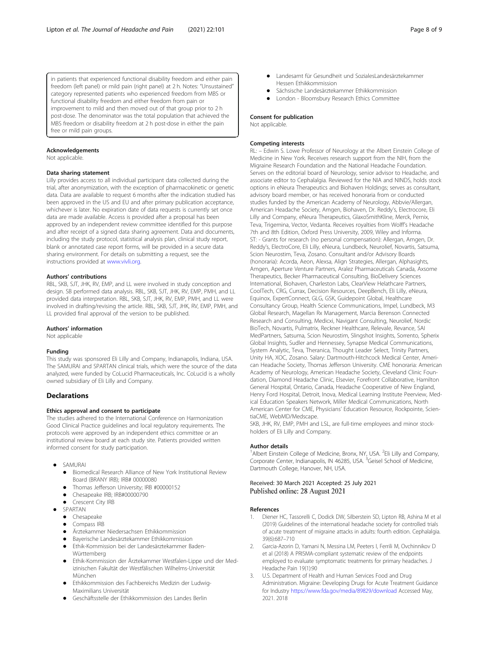<span id="page-9-0"></span>in patients that experienced functional disability freedom and either pain freedom (left panel) or mild pain (right panel) at 2 h. Notes: "Unsustained" category represented patients who experienced freedom from MBS or functional disability freedom and either freedom from pain or improvement to mild and then moved out of that group prior to 2 h post-dose. The denominator was the total population that achieved the MBS freedom or disability freedom at 2 h post-dose in either the pain free or mild pain groups.

#### Acknowledgements

Not applicable.

#### Data sharing statement

Lilly provides access to all individual participant data collected during the trial, after anonymization, with the exception of pharmacokinetic or genetic data. Data are available to request 6 months after the indication studied has been approved in the US and EU and after primary publication acceptance, whichever is later. No expiration date of data requests is currently set once data are made available. Access is provided after a proposal has been approved by an independent review committee identified for this purpose and after receipt of a signed data sharing agreement. Data and documents, including the study protocol, statistical analysis plan, clinical study report, blank or annotated case report forms, will be provided in a secure data sharing environment. For details on submitting a request, see the instructions provided at [www.vivli.org.](http://www.vivli.org)

#### Authors' contributions

RBL, SKB, SJT, JHK, RV, EMP, and LL were involved in study conception and design. SB performed data analysis. RBL, SKB, SJT, JHK, RV, EMP, PMH, and LL provided data interpretation. RBL, SKB, SJT, JHK, RV, EMP, PMH, and LL were involved in drafting/revising the article. RBL, SKB, SJT, JHK, RV, EMP, PMH, and LL provided final approval of the version to be published.

#### Authors' information

Not applicable

#### Funding

This study was sponsored Eli Lilly and Company, Indianapolis, Indiana, USA. The SAMURAI and SPARTAN clinical trials, which were the source of the data analyzed, were funded by CoLucid Pharmaceuticals, Inc. CoLucid is a wholly owned subsidiary of Eli Lilly and Company.

#### **Declarations**

#### Ethics approval and consent to participate

The studies adhered to the International Conference on Harmonization Good Clinical Practice guidelines and local regulatory requirements. The protocols were approved by an independent ethics committee or an institutional review board at each study site. Patients provided written informed consent for study participation.

- SAMURAI
	- Biomedical Research Alliance of New York Institutional Review Board (BRANY IRB); IRB# 00000080
	- Thomas Jefferson University; IRB #00000152
	- Chesapeake IRB; IRB#00000790
	- Crescent City IRB
	- SPARTAN
	- **•** Chesapeake
	- Compass IRB
	- Ärztekammer Niedersachsen Ethikkommission
	- Bayerische Landesärztekammer Ethikkommission
	- Ethik-Kommission bei der Landesärztekammer Baden-**Württemberg**
	- Ethik-Kommission der Ärztekammer Westfalen-Lippe und der Medizinischen Fakultät der Westfälischen Wilhelms-Universität München
	- Ethikkommission des Fachbereichs Medizin der Ludwig-Maximilians Universität
	- Geschäftsstelle der Ethikkommission des Landes Berlin
- Landesamt für Gesundheit und SozialesLandesärztekammer Hessen Ethikkommission
- Sächsische Landesärztekammer Ethikkommission<br>Auf Jondon Bloomsbury Besearch Ethics Committee
- London Bloomsbury Research Ethics Committee

#### Consent for publication

Not applicable.

#### Competing interests

RL: – Edwin S. Lowe Professor of Neurology at the Albert Einstein College of Medicine in New York. Receives research support from the NIH, from the Migraine Research Foundation and the National Headache Foundation. Serves on the editorial board of Neurology, senior advisor to Headache, and associate editor to Cephalalgia. Reviewed for the NIA and NINDS, holds stock options in eNeura Therapeutics and Biohaven Holdings; serves as consultant, advisory board member, or has received honoraria from or conducted studies funded by the American Academy of Neurology, Abbvie/Allergan, American Headache Society, Amgen, Biohaven, Dr. Reddy's, Electrocore, Eli Lilly and Company, eNeura Therapeutics, GlaxoSmithKline, Merck, Pernix, Teva, Trigemina, Vector, Vedanta. Receives royalties from Wolff's Headache 7th and 8th Edition, Oxford Press University, 2009, Wiley and Informa. ST: - Grants for research (no personal compensation): Allergan, Amgen, Dr. Reddy's, ElectroCore, Eli Lilly, eNeura, Lundbeck, Neurolief, Novartis, Satsuma, Scion Neurostim, Teva, Zosano. Consultant and/or Advisory Boards (honoraria): Acorda, Aeon, Alexsa, Align Strategies, Allergan, Alphasights, Amgen, Aperture Venture Partners, Aralez Pharmaceuticals Canada, Axsome Therapeutics, Becker Pharmaceutical Consulting, BioDelivery Sciences International, Biohaven, Charleston Labs, ClearView Helathcare Partners, CoolTech, CRG, Currax, Decision Resources, DeepBench, Eli Lilly, eNeura, Equinox, ExpertConnect, GLG, GSK, Guidepoint Global, Healthcare Consultancy Group, Health Science Communications, Impel, Lundbeck, M3 Global Research, Magellan Rx Management, Marcia Berenson Connected Research and Consulting, Medicxi, Navigant Consulting, Neurolief, Nordic BioTech, Novartis, Pulmatrix, Reckner Healthcare, Relevale, Revance, SAI MedPartners, Satsuma, Scion Neurostim, Slingshot Insights, Sorrento, Spherix Global Insights, Sudler and Hennessey, Synapse Medical Communications, System Analytic, Teva, Theranica, Thought Leader Select, Trinity Partners, Unity HA, XOC, Zosano. Salary: Dartmouth-Hitchcock Medical Center, American Headache Society, Thomas Jefferson University. CME honoraria: American Academy of Neurology, American Headache Society, Cleveland Clinic Foundation, Diamond Headache Clinic, Elsevier, Forefront Collaborative, Hamilton General Hospital, Ontario, Canada, Headache Cooperative of New England, Henry Ford Hospital, Detroit, Inova, Medical Learning Institute Peerview, Medical Education Speakers Network, Miller Medical Communications, North American Center for CME, Physicians' Education Resource, Rockpointe, ScientiaCME, WebMD/Medscape.

SKB, JHK, RV, EMP, PMH and LSL, are full-time employees and minor stockholders of Eli Lilly and Company.

#### Author details

<sup>1</sup> Albert Einstein College of Medicine, Bronx, NY, USA. <sup>2</sup> Eli Lilly and Company Corporate Center, Indianapolis, IN 46285, USA. <sup>3</sup>Geisel School of Medicine Dartmouth College, Hanover, NH, USA.

#### Received: 30 March 2021 Accepted: 25 July 2021 Published online: 28 August 2021

#### References

- Diener HC, Tassorelli C, Dodick DW, Silberstein SD, Lipton RB, Ashina M et al (2019) Guidelines of the international headache society for controlled trials of acute treatment of migraine attacks in adults: fourth edition. Cephalalgia. 39(6):687–710
- 2. Garcia-Azorin D, Yamani N, Messina LM, Peeters I, Ferrili M, Ovchinnikov D et al (2018) A PRISMA-compliant systematic review of the endpoints employed to evaluate symptomatic treatments for primary headaches. J Headache Pain 19(1):90
- 3. U.S. Department of Health and Human Services Food and Drug Administration. Migraine: Developing Drugs for Acute Treatment Guidance for Industry <https://www.fda.gov/media/89829/download> Accessed May, 2021. 2018